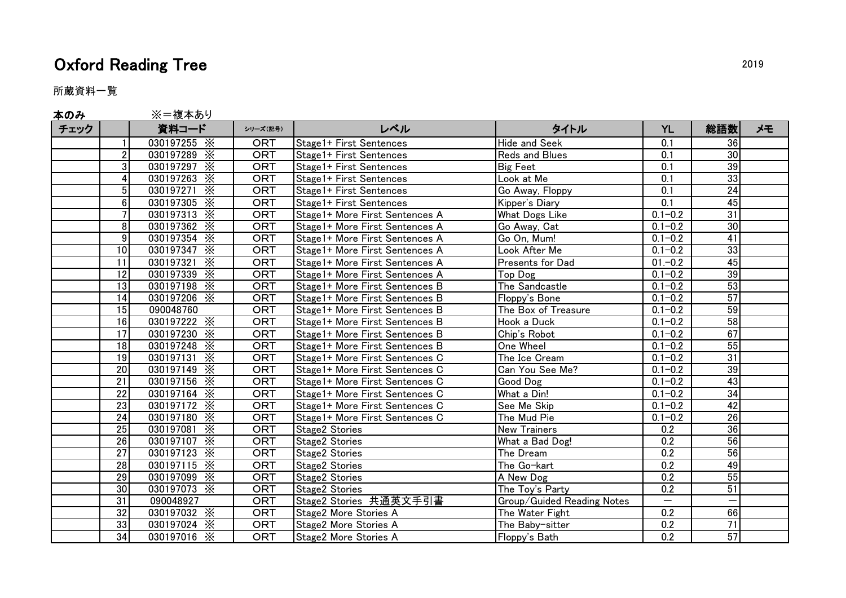## Oxford Reading Tree 2019

所蔵資料一覧

| 本のみ  |                 | ※=複本あり                        |            |                                |                            |                          |                 |    |
|------|-----------------|-------------------------------|------------|--------------------------------|----------------------------|--------------------------|-----------------|----|
| チェック |                 | 資料コード                         | シリーズ(記号)   | レベル                            | タイトル                       | <b>YL</b>                | 総語数             | メモ |
|      |                 | 030197255 $\times$            | <b>ORT</b> | Stage1+ First Sentences        | Hide and Seek              | 0.1                      | 36              |    |
|      | $\overline{2}$  | 030197289 X                   | <b>ORT</b> | Stage1+ First Sentences        | Reds and Blues             | 0.1                      | 30              |    |
|      | 3               | 030197297 X                   | <b>ORT</b> | Stage1+ First Sentences        | <b>Big Feet</b>            | 0.1                      | 39              |    |
|      | 4               | 030197263 $\times$            | <b>ORT</b> | Stage1+ First Sentences        | Look at Me                 | 0.1                      | 33              |    |
|      | 5               | 030197271<br>$\times$         | <b>ORT</b> | Stage1+ First Sentences        | Go Away, Floppy            | 0.1                      | 24              |    |
|      | 6               | 030197305 X                   | <b>ORT</b> | Stage1+ First Sentences        | Kipper's Diary             | 0.1                      | 45              |    |
|      | $\overline{7}$  | 030197313 $\times$            | <b>ORT</b> | Stage1+ More First Sentences A | What Dogs Like             | $0.1 - 0.2$              | $\overline{31}$ |    |
|      | 8               | 030197362 X                   | ORT        | Stage1+ More First Sentences A | Go Away, Cat               | $0.1 - 0.2$              | 30              |    |
|      | $\overline{9}$  | 030197354 X                   | <b>ORT</b> | Stage1+ More First Sentences A | Go On, Mum!                | $0.1 - 0.2$              | 41              |    |
|      | 10              | 030197347 X                   | <b>ORT</b> | Stage1+ More First Sentences A | Look After Me              | $0.1 - 0.2$              | 33              |    |
|      | 11              | 030197321 X                   | <b>ORT</b> | Stage1+ More First Sentences A | Presents for Dad           | $01 - 0.2$               | 45              |    |
|      | 12              | 030197339 X                   | <b>ORT</b> | Stage1+ More First Sentences A | Top Dog                    | $0.1 - 0.2$              | 39              |    |
|      | 13              | 030197198 X                   | <b>ORT</b> | Stage1+ More First Sentences B | The Sandcastle             | $0.1 - 0.2$              | 53              |    |
|      | 14              | 030197206 X                   | <b>ORT</b> | Stage1+ More First Sentences B | Floppy's Bone              | $0.1 - 0.2$              | 57              |    |
|      | 15              | 090048760                     | ORT        | Stage1+ More First Sentences B | The Box of Treasure        | $0.1 - 0.2$              | 59              |    |
|      | 16              | 030197222 X                   | <b>ORT</b> | Stage1+ More First Sentences B | Hook a Duck                | $0.1 - 0.2$              | 58              |    |
|      | 17              | 030197230 X                   | <b>ORT</b> | Stage1+ More First Sentences B | Chip's Robot               | $0.1 - 0.2$              | 67              |    |
|      | $\overline{18}$ | 030197248 X                   | ORT        | Stage1+ More First Sentences B | One Wheel                  | $0.1 - 0.2$              | 55              |    |
|      | 19              | 030197131 X                   | <b>ORT</b> | Stage1+ More First Sentences C | The Ice Cream              | $0.1 - 0.2$              | 31              |    |
|      | 20              | 030197149 $\times$            | <b>ORT</b> | Stage1+ More First Sentences C | Can You See Me?            | $0.1 - 0.2$              | 39              |    |
|      | $\overline{21}$ | 030197156 X                   | <b>ORT</b> | Stage1+ More First Sentences C | Good Dog                   | $0.1 - 0.2$              | 43              |    |
|      | $\overline{22}$ | 030197164 X                   | <b>ORT</b> | Stage1+ More First Sentences C | What a Din!                | $0.1 - 0.2$              | 34              |    |
|      | 23              | 030197172 $\times$            | <b>ORT</b> | Stage1+ More First Sentences C | See Me Skip                | $0.1 - 0.2$              | 42              |    |
|      | 24              | 030197180 X                   | ORT        | Stage1+ More First Sentences C | The Mud Pie                | $0.1 - 0.2$              | 26              |    |
|      | 25              | 030197081 X                   | <b>ORT</b> | Stage2 Stories                 | <b>New Trainers</b>        | 0.2                      | 36              |    |
|      | 26              | 030197107 X                   | <b>ORT</b> | Stage2 Stories                 | What a Bad Dog!            | 0.2                      | 56              |    |
|      | 27              | 030197123 X                   | <b>ORT</b> | <b>Stage2 Stories</b>          | The Dream                  | 0.2                      | 56              |    |
|      | $\overline{28}$ | 030197115 $\times$            | <b>ORT</b> | <b>Stage2 Stories</b>          | The Go-kart                | 0.2                      | 49              |    |
|      | 29              | 030197099 $\times$            | <b>ORT</b> | <b>Stage2 Stories</b>          | A New Dog                  | 0.2                      | 55              |    |
|      | 30              | $\overline{030197073} \times$ | ORT        | <b>Stage2 Stories</b>          | The Toy's Party            | 0.2                      | 51              |    |
|      | $\overline{31}$ | 090048927                     | ORT        | Stage2 Stories 共通英文手引書         | Group/Guided Reading Notes | $\overline{\phantom{0}}$ |                 |    |
|      | 32              | 030197032 X                   | <b>ORT</b> | Stage2 More Stories A          | The Water Fight            | 0.2                      | 66              |    |
|      | 33              | 030197024 X                   | <b>ORT</b> | Stage2 More Stories A          | The Baby-sitter            | 0.2                      | $\overline{71}$ |    |

34 030197016 ※ | ORT |Stage2 More Stories A |Floppy's Bath | 0.2 | 57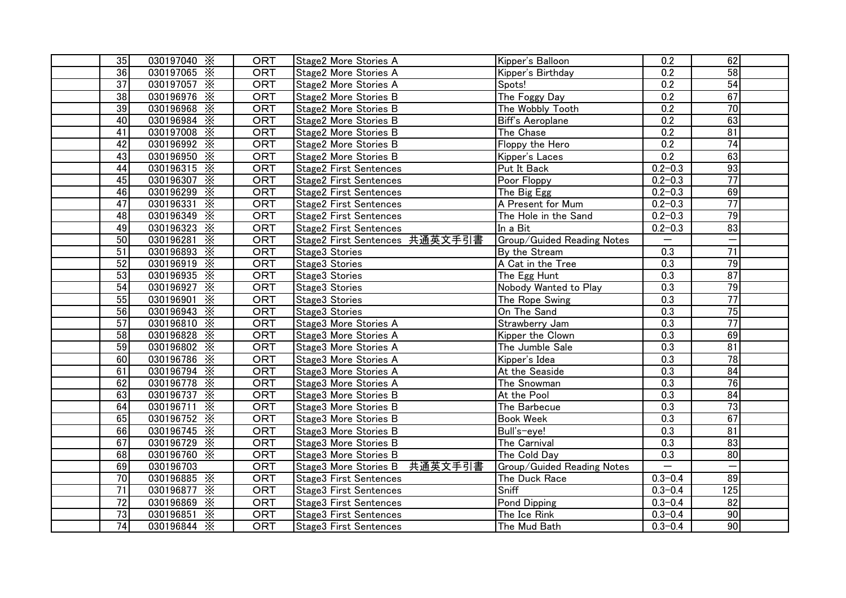| 35              | 030197040 $\times$ | <b>ORT</b> | Stage2 More Stories A          | Kipper's Balloon           | 0.2                      | 62              |
|-----------------|--------------------|------------|--------------------------------|----------------------------|--------------------------|-----------------|
| 36              | 030197065 X        | <b>ORT</b> | Stage2 More Stories A          | Kipper's Birthday          | 0.2                      | 58              |
| $\overline{37}$ | 030197057 X        | <b>ORT</b> | Stage2 More Stories A          | Spots!                     | 0.2                      | 54              |
| $\overline{38}$ | 030196976 X        | <b>ORT</b> | Stage2 More Stories B          | The Foggy Day              | 0.2                      | 67              |
| 39              | 030196968 X        | <b>ORT</b> | Stage2 More Stories B          | The Wobbly Tooth           | 0.2                      | 70              |
| 40              | 030196984 X        | <b>ORT</b> | Stage2 More Stories B          | Biff's Aeroplane           | 0.2                      | 63              |
| 41              | 030197008 X        | <b>ORT</b> | Stage2 More Stories B          | The Chase                  | 0.2                      | $\overline{81}$ |
| $\overline{42}$ | 030196992 $\times$ | <b>ORT</b> | Stage2 More Stories B          | Floppy the Hero            | 0.2                      | $\overline{74}$ |
| 43              | 030196950 X        | <b>ORT</b> | Stage2 More Stories B          | Kipper's Laces             | 0.2                      | 63              |
| 44              | 030196315 $\times$ | <b>ORT</b> | <b>Stage2 First Sentences</b>  | Put It Back                | $0.2 - 0.3$              | 93              |
| 45              | 030196307 X        | <b>ORT</b> | <b>Stage2 First Sentences</b>  | Poor Floppy                | $0.2 - 0.3$              | $\overline{77}$ |
| 46              | 030196299 X        | ORT        | <b>Stage2 First Sentences</b>  | The Big Egg                | $0.2 - 0.3$              | 69              |
| $\overline{47}$ | 030196331 X        | <b>ORT</b> | <b>Stage2 First Sentences</b>  | A Present for Mum          | $0.2 - 0.3$              | $\overline{77}$ |
| 48              | 030196349 X        | <b>ORT</b> | <b>Stage2 First Sentences</b>  | The Hole in the Sand       | $0.2 - 0.3$              | 79              |
| 49              | 030196323 X        | <b>ORT</b> | <b>Stage2 First Sentences</b>  | In a Bit                   | $0.2 - 0.3$              | 83              |
| 50              | 030196281 $\times$ | <b>ORT</b> | Stage2 First Sentences 共通英文手引書 | Group/Guided Reading Notes | $\qquad \qquad$          |                 |
| 51              | 030196893 X        | <b>ORT</b> | Stage3 Stories                 | By the Stream              | 0.3                      | $\overline{71}$ |
| 52              | 030196919 X        | <b>ORT</b> | Stage3 Stories                 | A Cat in the Tree          | $\overline{0.3}$         | 79              |
| 53              | 030196935 X        | <b>ORT</b> | Stage3 Stories                 | The Egg Hunt               | $\overline{0.3}$         | 87              |
| 54              | 030196927 $\times$ | <b>ORT</b> | Stage3 Stories                 | Nobody Wanted to Play      | 0.3                      | 79              |
| 55              | 030196901 X        | <b>ORT</b> | Stage3 Stories                 | The Rope Swing             | 0.3                      | $\overline{77}$ |
| 56              | 030196943 $\times$ | <b>ORT</b> | Stage3 Stories                 | On The Sand                | 0.3                      | 75              |
| 57              | 030196810 X        | <b>ORT</b> | Stage3 More Stories A          | Strawberry Jam             | 0.3                      | 77              |
| 58              | 030196828 X        | <b>ORT</b> | Stage3 More Stories A          | Kipper the Clown           | 0.3                      | 69              |
| 59              | 030196802 X        | <b>ORT</b> | Stage3 More Stories A          | The Jumble Sale            | 0.3                      | 81              |
| 60              | 030196786 X        | <b>ORT</b> | Stage3 More Stories A          | Kipper's Idea              | 0.3                      | 78              |
| 61              | 030196794 X        | ORT        | Stage3 More Stories A          | At the Seaside             | $\overline{0.3}$         | 84              |
| 62              | 030196778 X        | <b>ORT</b> | Stage3 More Stories A          | The Snowman                | 0.3                      | $\overline{76}$ |
| 63              | 030196737 X        | <b>ORT</b> | Stage3 More Stories B          | At the Pool                | 0.3                      | 84              |
| 64              | 030196711 X        | <b>ORT</b> | Stage3 More Stories B          | The Barbecue               | 0.3                      | 73              |
| 65              | 030196752 $\times$ | <b>ORT</b> | Stage3 More Stories B          | <b>Book Week</b>           | 0.3                      | 67              |
| 66              | 030196745 X        | <b>ORT</b> | Stage3 More Stories B          | Bull's-eye!                | 0.3                      | 81              |
| 67              | 030196729 X        | <b>ORT</b> | Stage3 More Stories B          | The Carnival               | 0.3                      | အွ              |
| 68              | 030196760 X        | ORT        | Stage3 More Stories B          | The Cold Day               | $\overline{0.3}$         | 80              |
| 69              | 030196703          | <b>ORT</b> | Stage3 More Stories B 共通英文手引書  | Group/Guided Reading Notes | $\overline{\phantom{m}}$ |                 |
| 70              | 030196885 X        | <b>ORT</b> | <b>Stage3 First Sentences</b>  | The Duck Race              | $0.3 - 0.4$              | 89              |
| $\overline{71}$ | 030196877 X        | <b>ORT</b> | <b>Stage3 First Sentences</b>  | Sniff                      | $0.3 - 0.4$              | 125             |
| $\overline{72}$ | 030196869 $\times$ | <b>ORT</b> | <b>Stage3 First Sentences</b>  | <b>Pond Dipping</b>        | $0.3 - 0.4$              | 82              |
| 73              | 030196851 X        | <b>ORT</b> | <b>Stage3 First Sentences</b>  | The Ice Rink               | $0.3 - 0.4$              | 90              |
| 74              | 030196844 $\times$ | <b>ORT</b> | <b>Stage3 First Sentences</b>  | The Mud Bath               | $0.3 - 0.4$              | 90              |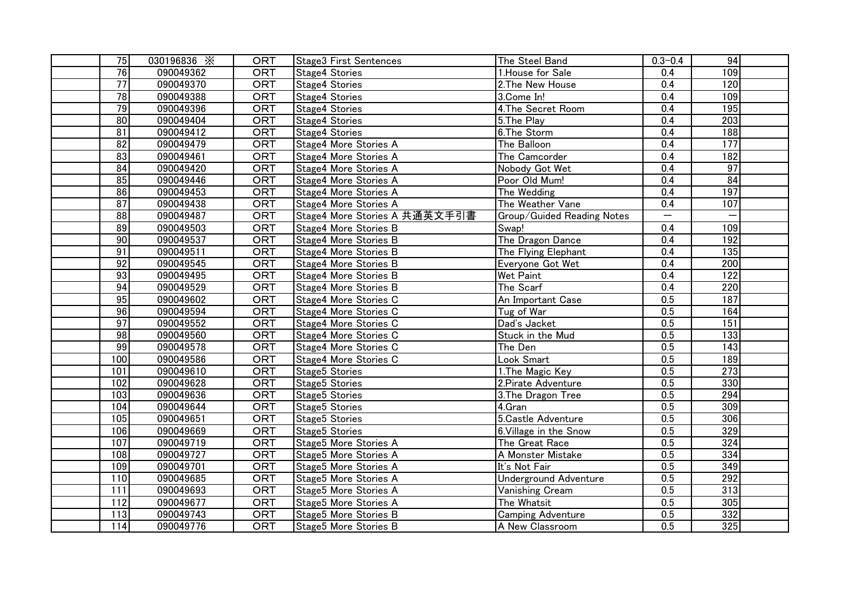| 75              | 030196836 X | <b>ORT</b> | <b>Stage3 First Sentences</b> | The Steel Band             | $0.3 - 0.4$      | 94               |
|-----------------|-------------|------------|-------------------------------|----------------------------|------------------|------------------|
| 76              | 090049362   | <b>ORT</b> | <b>Stage4 Stories</b>         | 1. House for Sale          | 0.4              | 109              |
| $\overline{77}$ | 090049370   | <b>ORT</b> | Stage4 Stories                | 2. The New House           | 0.4              | 120              |
| 78              | 090049388   | <b>ORT</b> | Stage4 Stories                | 3.Come In!                 | 0.4              | 109              |
| 79              | 090049396   | <b>ORT</b> | <b>Stage4 Stories</b>         | 4.The Secret Room          | 0.4              | 195              |
| 80              | 090049404   | <b>ORT</b> | <b>Stage4 Stories</b>         | 5.The Play                 | 0.4              | $\overline{203}$ |
| $\overline{81}$ | 090049412   | <b>ORT</b> | Stage4 Stories                | 6.The Storm                | 0.4              | 188              |
| 82              | 090049479   | <b>ORT</b> | Stage4 More Stories A         | The Balloon                | 0.4              | 177              |
| $\overline{83}$ | 090049461   | <b>ORT</b> | Stage4 More Stories A         | The Camcorder              | 0.4              | 182              |
| 84              | 090049420   | <b>ORT</b> | Stage4 More Stories A         | Nobody Got Wet             | $\overline{0.4}$ | 97               |
| 85              | 090049446   | <b>ORT</b> | Stage4 More Stories A         | Poor Old Mum!              | 0.4              | 84               |
| $\overline{86}$ | 090049453   | <b>ORT</b> | Stage4 More Stories A         | The Wedding                | 0.4              | 197              |
| $\overline{87}$ | 090049438   | <b>ORT</b> | Stage4 More Stories A         | The Weather Vane           | 0.4              | 107              |
| 88              | 090049487   | <b>ORT</b> | Stage4 More Stories A 共通英文手引書 | Group/Guided Reading Notes |                  |                  |
| 89              | 090049503   | <b>ORT</b> | Stage4 More Stories B         | Swap!                      | 0.4              | 109              |
| $\overline{90}$ | 090049537   | <b>ORT</b> | Stage4 More Stories B         | The Dragon Dance           | 0.4              | 192              |
| 91              | 090049511   | <b>ORT</b> | Stage4 More Stories B         | The Flying Elephant        | 0.4              | 135              |
| 92              | 090049545   | <b>ORT</b> | Stage4 More Stories B         | Everyone Got Wet           | 0.4              | 200              |
| 93              | 090049495   | <b>ORT</b> | Stage4 More Stories B         | Wet Paint                  | 0.4              | 122              |
| 94              | 090049529   | ORT        | Stage4 More Stories B         | The Scarf                  | 0.4              | 220              |
| 95              | 090049602   | <b>ORT</b> | Stage4 More Stories C         | An Important Case          | 0.5              | 187              |
| 96              | 090049594   | <b>ORT</b> | Stage4 More Stories C         | Tug of War                 | 0.5              | 164              |
| 97              | 090049552   | <b>ORT</b> | Stage4 More Stories C         | Dad's Jacket               | 0.5              | 151              |
| $\overline{98}$ | 090049560   | <b>ORT</b> | Stage4 More Stories C         | Stuck in the Mud           | 0.5              | 133              |
| 99              | 090049578   | <b>ORT</b> | Stage4 More Stories C         | The Den                    | 0.5              | 143              |
| 100             | 090049586   | <b>ORT</b> | Stage4 More Stories C         | Look Smart                 | 0.5              | 189              |
| 101             | 090049610   | <b>ORT</b> | Stage5 Stories                | 1. The Magic Key           | 0.5              | 273              |
| 102             | 090049628   | <b>ORT</b> | Stage5 Stories                | 2. Pirate Adventure        | 0.5              | 330              |
| 103             | 090049636   | <b>ORT</b> | Stage5 Stories                | 3. The Dragon Tree         | 0.5              | 294              |
| 104             | 090049644   | <b>ORT</b> | Stage5 Stories                | 4.Gran                     | 0.5              | 309              |
| 105             | 090049651   | <b>ORT</b> | Stage5 Stories                | 5. Castle Adventure        | 0.5              | 306              |
| 106             | 090049669   | <b>ORT</b> | Stage5 Stories                | 6. Village in the Snow     | 0.5              | 329              |
| 107             | 090049719   | <b>ORT</b> | Stage5 More Stories A         | The Great Race             | 0.5              | 324              |
| 108             | 090049727   | <b>ORT</b> | Stage5 More Stories A         | A Monster Mistake          | 0.5              | 334              |
| 109             | 090049701   | ORT        | Stage5 More Stories A         | It's Not Fair              | 0.5              | 349              |
| 110             | 090049685   | <b>ORT</b> | Stage5 More Stories A         | Underground Adventure      | 0.5              | 292              |
| 111             | 090049693   | <b>ORT</b> | Stage5 More Stories A         | Vanishing Cream            | 0.5              | 313              |
| 112             | 090049677   | <b>ORT</b> | Stage5 More Stories A         | The Whatsit                | 0.5              | 305              |
| 113             | 090049743   | <b>ORT</b> | Stage5 More Stories B         | <b>Camping Adventure</b>   | 0.5              | 332              |
| 114             | 090049776   | <b>ORT</b> | Stage5 More Stories B         | A New Classroom            | 0.5              | 325              |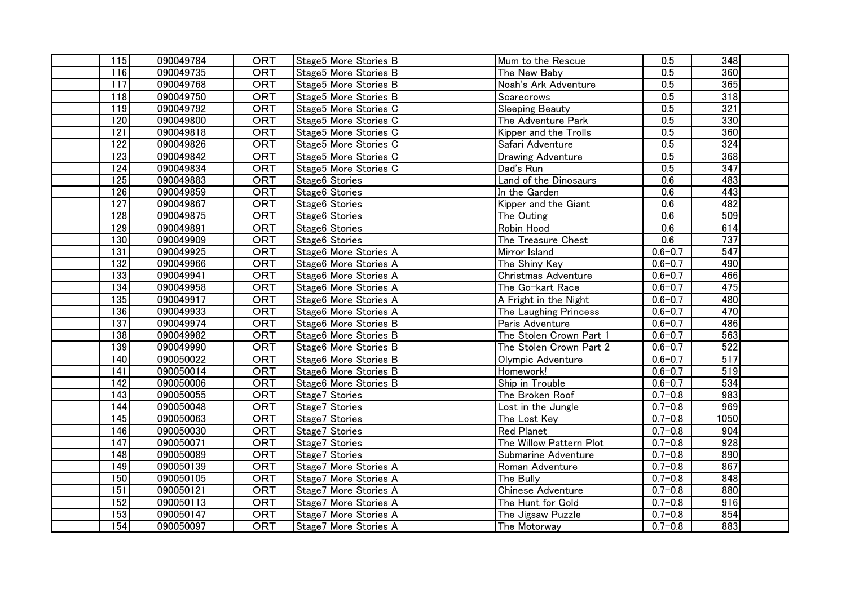| 115              | 090049784 | <b>ORT</b> | Stage5 More Stories B | Mum to the Rescue        | 0.5              | 348              |
|------------------|-----------|------------|-----------------------|--------------------------|------------------|------------------|
| 116              | 090049735 | <b>ORT</b> | Stage5 More Stories B | The New Baby             | 0.5              | 360              |
| 117              | 090049768 | <b>ORT</b> | Stage5 More Stories B | Noah's Ark Adventure     | $\overline{0.5}$ | 365              |
| 118              | 090049750 | <b>ORT</b> | Stage5 More Stories B | Scarecrows               | 0.5              | 318              |
| 119              | 090049792 | <b>ORT</b> | Stage5 More Stories C | <b>Sleeping Beauty</b>   | 0.5              | 321              |
| 120              | 090049800 | <b>ORT</b> | Stage5 More Stories C | The Adventure Park       | 0.5              | 330              |
| 121              | 090049818 | <b>ORT</b> | Stage5 More Stories C | Kipper and the Trolls    | 0.5              | 360              |
| 122              | 090049826 | <b>ORT</b> | Stage5 More Stories C | Safari Adventure         | 0.5              | 324              |
| 123              | 090049842 | <b>ORT</b> | Stage5 More Stories C | <b>Drawing Adventure</b> | 0.5              | 368              |
| $\frac{1}{24}$   | 090049834 | <b>ORT</b> | Stage5 More Stories C | Dad's Run                | 0.5              | 347              |
| 125              | 090049883 | <b>ORT</b> | Stage6 Stories        | Land of the Dinosaurs    | 0.6              | 483              |
| 126              | 090049859 | <b>ORT</b> | Stage6 Stories        | In the Garden            | 0.6              | 443              |
| 127              | 090049867 | <b>ORT</b> | Stage6 Stories        | Kipper and the Giant     | 0.6              | 482              |
| $\overline{128}$ | 090049875 | <b>ORT</b> | Stage6 Stories        | The Outing               | 0.6              | 509              |
| 129              | 090049891 | <b>ORT</b> | Stage6 Stories        | Robin Hood               | 0.6              | 614              |
| 130              | 090049909 | <b>ORT</b> | Stage6 Stories        | The Treasure Chest       | 0.6              | 737              |
| 131              | 090049925 | <b>ORT</b> | Stage6 More Stories A | Mirror Island            | $0.6 - 0.7$      | $\overline{547}$ |
| 132              | 090049966 | <b>ORT</b> | Stage6 More Stories A | The Shiny Key            | $0.6 - 0.7$      | 490              |
| 133              | 090049941 | <b>ORT</b> | Stage6 More Stories A | Christmas Adventure      | $0.6 - 0.7$      | 466              |
| 134              | 090049958 | ORT        | Stage6 More Stories A | The Go-kart Race         | $0.6 - 0.7$      | 475              |
| $\overline{135}$ | 090049917 | <b>ORT</b> | Stage6 More Stories A | A Fright in the Night    | $0.6 - 0.7$      | 480              |
| 136              | 090049933 | <b>ORT</b> | Stage6 More Stories A | The Laughing Princess    | $0.6 - 0.7$      | 470              |
| $\overline{137}$ | 090049974 | <b>ORT</b> | Stage6 More Stories B | Paris Adventure          | $0.6 - 0.7$      | 486              |
| 138              | 090049982 | <b>ORT</b> | Stage6 More Stories B | The Stolen Crown Part 1  | $0.6 - 0.7$      | 563              |
| 139              | 090049990 | <b>ORT</b> | Stage6 More Stories B | The Stolen Crown Part 2  | $0.6 - 0.7$      | 522              |
| 140              | 090050022 | <b>ORT</b> | Stage6 More Stories B | Olympic Adventure        | $0.6 - 0.7$      | $\overline{517}$ |
| 141              | 090050014 | <b>ORT</b> | Stage6 More Stories B | Homework!                | $0.6 - 0.7$      | 519              |
| 142              | 090050006 | <b>ORT</b> | Stage6 More Stories B | Ship in Trouble          | $0.6 - 0.7$      | 534              |
| 143              | 090050055 | <b>ORT</b> | Stage7 Stories        | The Broken Roof          | $0.7 - 0.8$      | 983              |
| 144              | 090050048 | <b>ORT</b> | Stage7 Stories        | Lost in the Jungle       | $0.7 - 0.8$      | 969              |
| $\overline{145}$ | 090050063 | <b>ORT</b> | Stage7 Stories        | The Lost Key             | $0.7 - 0.8$      | 1050             |
| 146              | 090050030 | ORT        | Stage7 Stories        | <b>Red Planet</b>        | $0.7 - 0.8$      | 904              |
| 147              | 090050071 | <b>ORT</b> | Stage7 Stories        | The Willow Pattern Plot  | $0.7 - 0.8$      | 928              |
| 148              | 090050089 | <b>ORT</b> | Stage7 Stories        | Submarine Adventure      | $0.7 - 0.8$      | 890              |
| 149              | 090050139 | <b>ORT</b> | Stage7 More Stories A | Roman Adventure          | $0.7 - 0.8$      | 867              |
| 150              | 090050105 | <b>ORT</b> | Stage7 More Stories A | The Bully                | $0.7 - 0.8$      | 848              |
| 151              | 090050121 | <b>ORT</b> | Stage7 More Stories A | <b>Chinese Adventure</b> | $0.7 - 0.8$      | 880              |
| 152              | 090050113 | <b>ORT</b> | Stage7 More Stories A | The Hunt for Gold        | $0.7 - 0.8$      | 916              |
| 153              | 090050147 | <b>ORT</b> | Stage7 More Stories A | The Jigsaw Puzzle        | $0.7 - 0.8$      | 854              |
| 154              | 090050097 | <b>ORT</b> | Stage7 More Stories A | The Motorway             | $0.7 - 0.8$      | 883              |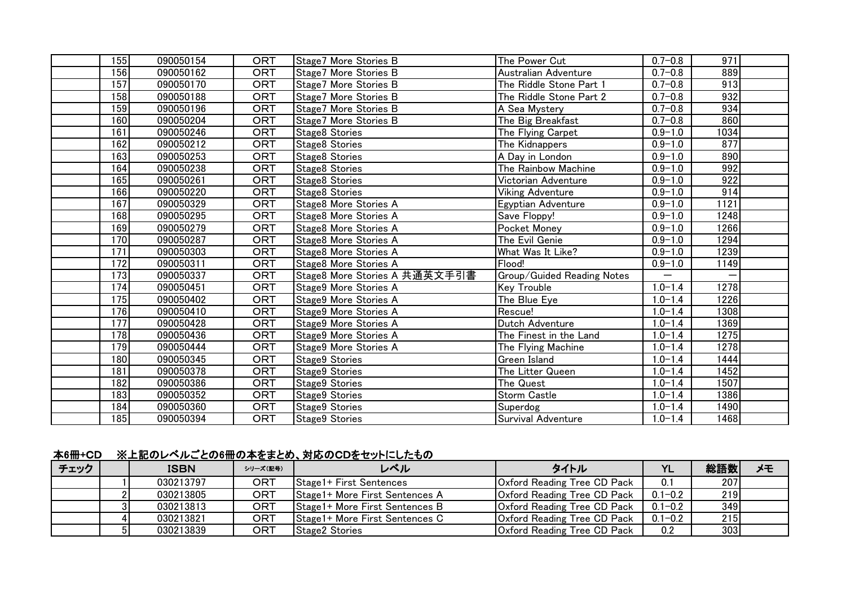| 155              | 090050154 | <b>ORT</b> | Stage7 More Stories B             | The Power Cut              | $0.7 - 0.8$ | 971  |
|------------------|-----------|------------|-----------------------------------|----------------------------|-------------|------|
| 156              | 090050162 | <b>ORT</b> | Stage7 More Stories B             | Australian Adventure       | $0.7 - 0.8$ | 889  |
| 157              | 090050170 | <b>ORT</b> | Stage7 More Stories B             | The Riddle Stone Part 1    | $0.7 - 0.8$ | 913  |
| 158              | 090050188 | <b>ORT</b> | Stage7 More Stories B             | The Riddle Stone Part 2    | $0.7 - 0.8$ | 932  |
| 159              | 090050196 | <b>ORT</b> | Stage7 More Stories B             | A Sea Mystery              | $0.7 - 0.8$ | 934  |
| 160              | 090050204 | ORT        | Stage7 More Stories B             | The Big Breakfast          | $0.7 - 0.8$ | 860  |
| 161              | 090050246 | <b>ORT</b> | Stage8 Stories                    | The Flying Carpet          | $0.9 - 1.0$ | 1034 |
| 162              | 090050212 | <b>ORT</b> | Stage8 Stories                    | The Kidnappers             | $0.9 - 1.0$ | 877  |
| 163              | 090050253 | <b>ORT</b> | Stage8 Stories                    | A Day in London            | $0.9 - 1.0$ | 890  |
| 164              | 090050238 | <b>ORT</b> | Stage8 Stories                    | The Rainbow Machine        | $0.9 - 1.0$ | 992  |
| 165              | 090050261 | <b>ORT</b> | Stage8 Stories                    | Victorian Adventure        | $0.9 - 1.0$ | 922  |
| 166              | 090050220 | <b>ORT</b> | Stage8 Stories                    | <b>Viking Adventure</b>    | $0.9 - 1.0$ | 914  |
| 167              | 090050329 | <b>ORT</b> | Stage8 More Stories A             | Egyptian Adventure         | $0.9 - 1.0$ | 1121 |
| 168              | 090050295 | <b>ORT</b> | Stage8 More Stories A             | Save Floppy!               | $0.9 - 1.0$ | 1248 |
| 169              | 090050279 | <b>ORT</b> | Stage8 More Stories A             | Pocket Money               | $0.9 - 1.0$ | 1266 |
| 170              | 090050287 | <b>ORT</b> | Stage8 More Stories A             | The Evil Genie             | $0.9 - 1.0$ | 1294 |
| 171              | 090050303 | <b>ORT</b> | Stage <sub>8</sub> More Stories A | What Was It Like?          | $0.9 - 1.0$ | 1239 |
| 172              | 090050311 | <b>ORT</b> | Stage8 More Stories A             | Flood!                     | $0.9 - 1.0$ | 1149 |
| $\overline{173}$ | 090050337 | <b>ORT</b> | Stage8 More Stories A 共通英文手引書     | Group/Guided Reading Notes |             |      |
| 174              | 090050451 | <b>ORT</b> | Stage9 More Stories A             | <b>Key Trouble</b>         | $1.0 - 1.4$ | 1278 |
| 175              | 090050402 | <b>ORT</b> | Stage9 More Stories A             | The Blue Eye               | $1.0 - 1.4$ | 1226 |
| 176              | 090050410 | <b>ORT</b> | Stage9 More Stories A             | Rescue!                    | $1.0 - 1.4$ | 1308 |
| 177              | 090050428 | <b>ORT</b> | Stage9 More Stories A             | Dutch Adventure            | $1.0 - 1.4$ | 1369 |
| 178              | 090050436 | <b>ORT</b> | Stage9 More Stories A             | The Finest in the Land     | $1.0 - 1.4$ | 1275 |
| 179              | 090050444 | <b>ORT</b> | Stage9 More Stories A             | The Flying Machine         | $1.0 - 1.4$ | 1278 |
| 180              | 090050345 | <b>ORT</b> | Stage9 Stories                    | <b>Green Island</b>        | $1.0 - 1.4$ | 1444 |
| 181              | 090050378 | <b>ORT</b> | Stage9 Stories                    | The Litter Queen           | $1.0 - 1.4$ | 1452 |
| 182              | 090050386 | <b>ORT</b> | Stage9 Stories                    | The Quest                  | $1.0 - 1.4$ | 1507 |
| 183              | 090050352 | <b>ORT</b> | Stage9 Stories                    | Storm Castle               | $1.0 - 1.4$ | 1386 |
| 184              | 090050360 | <b>ORT</b> | Stage9 Stories                    | Superdog                   | $1.0 - 1.4$ | 1490 |
| 185              | 090050394 | <b>ORT</b> | Stage9 Stories                    | Survival Adventure         | $1.0 - 1.4$ | 1468 |

## 本6冊+CD ※上記のレベルごとの6冊の本をまとめ、対応のCDをセットにしたもの

| チェック | <b>ISBN</b> | シリーズ(記号) | レベル                             | タイトル                               | <b>YL</b>   | 総語数        | メモ |
|------|-------------|----------|---------------------------------|------------------------------------|-------------|------------|----|
|      | 030213797   | ORT      | Stage1+ First Sentences         | <b>Oxford Reading Tree CD Pack</b> | 0.1         | 207        |    |
|      | 030213805   | ORT      | Stage1+ More First Sentences A  | <b>Oxford Reading Tree CD Pack</b> | $0.1 - 0.2$ | <b>219</b> |    |
|      | 030213813   | ORT      | Stage1+ More First Sentences B  | <b>Oxford Reading Tree CD Pack</b> | $0.1 - 0.2$ | 349        |    |
|      | 030213821   | ORT      | Stage 1+ More First Sentences C | <b>Oxford Reading Tree CD Pack</b> | $0.1 - 0.2$ | 215        |    |
|      | 030213839   | ORT      | Stage2 Stories                  | Oxford Reading Tree CD Pack        | 0.2         | 303        |    |